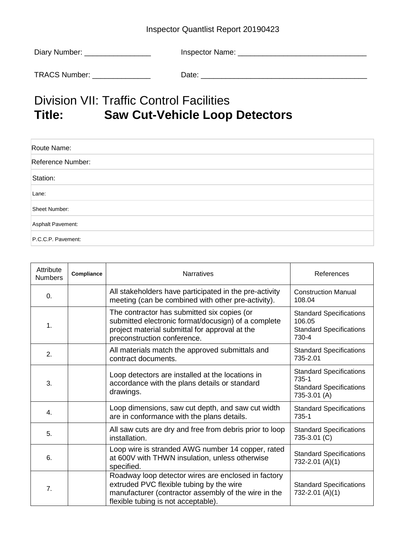## Inspector Quantlist Report 20190423

| Diary Number: | Inspector Name: |
|---------------|-----------------|
|               |                 |
| TRACS Number: | Date:           |

## Division VII: Traffic Control Facilities<br>Title: Saw Cut-Vehicle Loop **Saw Cut-Vehicle Loop Detectors**

| Route Name:        |  |
|--------------------|--|
| Reference Number:  |  |
| Station:           |  |
| Lane:              |  |
| Sheet Number:      |  |
| Asphalt Pavement:  |  |
| P.C.C.P. Pavement: |  |

| Attribute<br><b>Numbers</b> | Compliance | <b>Narratives</b>                                                                                                                                                                              | References                                                                                |
|-----------------------------|------------|------------------------------------------------------------------------------------------------------------------------------------------------------------------------------------------------|-------------------------------------------------------------------------------------------|
| $\mathbf{0}$ .              |            | All stakeholders have participated in the pre-activity<br>meeting (can be combined with other pre-activity).                                                                                   | <b>Construction Manual</b><br>108.04                                                      |
| 1.                          |            | The contractor has submitted six copies (or<br>submitted electronic format/docusign) of a complete<br>project material submittal for approval at the<br>preconstruction conference.            | <b>Standard Specifications</b><br>106.05<br><b>Standard Specifications</b><br>730-4       |
| 2.                          |            | All materials match the approved submittals and<br>contract documents.                                                                                                                         | <b>Standard Specifications</b><br>735-2.01                                                |
| 3.                          |            | Loop detectors are installed at the locations in<br>accordance with the plans details or standard<br>drawings.                                                                                 | <b>Standard Specifications</b><br>735-1<br><b>Standard Specifications</b><br>735-3.01 (A) |
| 4.                          |            | Loop dimensions, saw cut depth, and saw cut width<br>are in conformance with the plans details.                                                                                                | <b>Standard Specifications</b><br>735-1                                                   |
| 5.                          |            | All saw cuts are dry and free from debris prior to loop<br>installation.                                                                                                                       | <b>Standard Specifications</b><br>735-3.01 (C)                                            |
| 6.                          |            | Loop wire is stranded AWG number 14 copper, rated<br>at 600V with THWN insulation, unless otherwise<br>specified.                                                                              | <b>Standard Specifications</b><br>732-2.01 (A)(1)                                         |
| 7.                          |            | Roadway loop detector wires are enclosed in factory<br>extruded PVC flexible tubing by the wire<br>manufacturer (contractor assembly of the wire in the<br>flexible tubing is not acceptable). | <b>Standard Specifications</b><br>732-2.01 (A)(1)                                         |